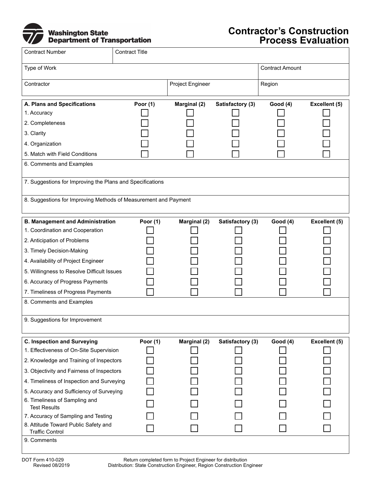

## **Contractor's Construction Process Evaluation**

| <b>Contract Number</b>                                                                                                                                                                                                                                                                                                                                                                                                                         | <b>Contract Title</b> |                  |                  |                        |               |
|------------------------------------------------------------------------------------------------------------------------------------------------------------------------------------------------------------------------------------------------------------------------------------------------------------------------------------------------------------------------------------------------------------------------------------------------|-----------------------|------------------|------------------|------------------------|---------------|
| Type of Work                                                                                                                                                                                                                                                                                                                                                                                                                                   |                       |                  |                  | <b>Contract Amount</b> |               |
| Contractor                                                                                                                                                                                                                                                                                                                                                                                                                                     |                       | Project Engineer |                  | Region                 |               |
| A. Plans and Specifications<br>1. Accuracy<br>2. Completeness<br>3. Clarity<br>4. Organization<br>5. Match with Field Conditions<br>6. Comments and Examples<br>7. Suggestions for Improving the Plans and Specifications<br>8. Suggestions for Improving Methods of Measurement and Payment                                                                                                                                                   | Poor $(1)$            | Marginal (2)     | Satisfactory (3) | <b>Good (4)</b>        | Excellent (5) |
| <b>B. Management and Administration</b><br>1. Coordination and Cooperation<br>2. Anticipation of Problems<br>3. Timely Decision-Making<br>4. Availability of Project Engineer<br>5. Willingness to Resolve Difficult Issues<br>6. Accuracy of Progress Payments<br>7. Timeliness of Progress Payments<br>8. Comments and Examples<br>9. Suggestions for Improvement                                                                            | Poor (1)              | Marginal (2)     | Satisfactory (3) | <b>Good (4)</b>        | Excellent (5) |
| <b>C. Inspection and Surveying</b><br>1. Effectiveness of On-Site Supervision<br>2. Knowledge and Training of Inspectors<br>3. Objectivity and Fairness of Inspectors<br>4. Timeliness of Inspection and Surveying<br>5. Accuracy and Sufficiency of Surveying<br>6. Timeliness of Sampling and<br><b>Test Results</b><br>7. Accuracy of Sampling and Testing<br>8. Attitude Toward Public Safety and<br><b>Traffic Control</b><br>9. Comments | Poor $(1)$            | Marginal (2)     | Satisfactory (3) | <b>Good (4)</b>        | Excellent (5) |